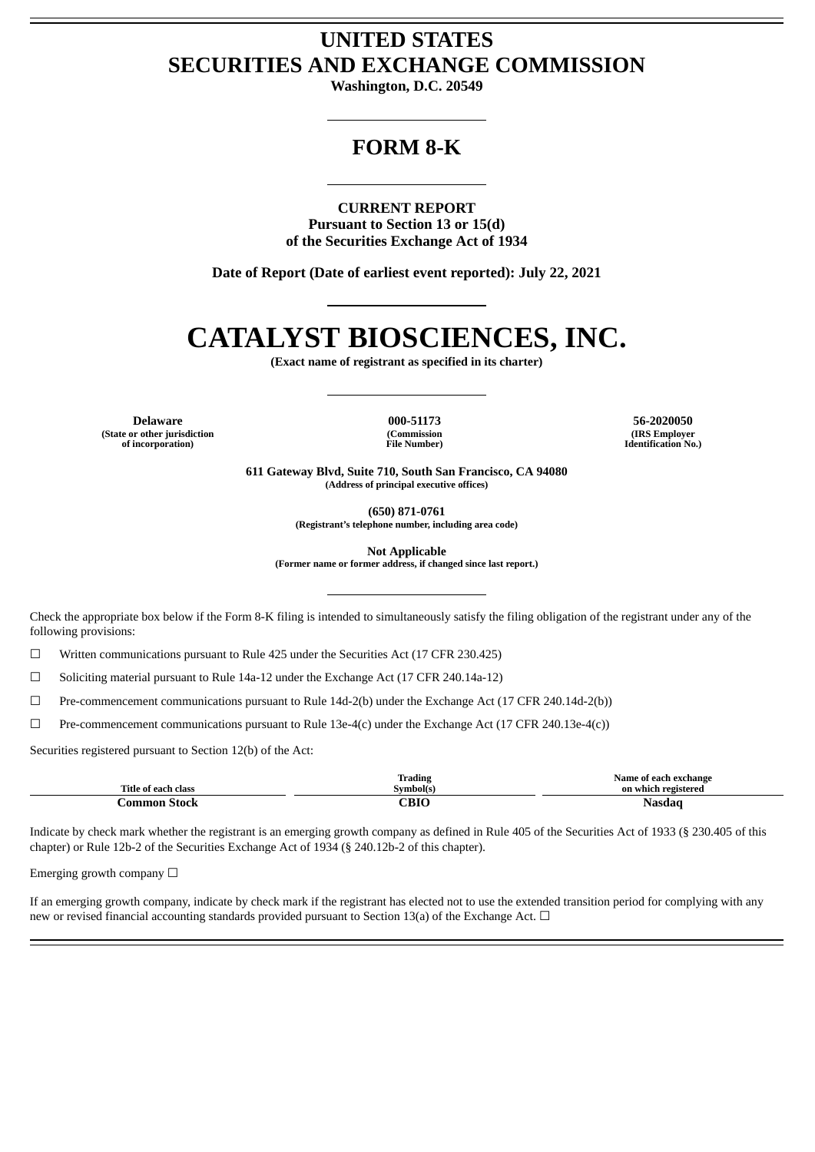# **UNITED STATES SECURITIES AND EXCHANGE COMMISSION**

**Washington, D.C. 20549**

# **FORM 8-K**

**CURRENT REPORT Pursuant to Section 13 or 15(d) of the Securities Exchange Act of 1934**

**Date of Report (Date of earliest event reported): July 22, 2021**

# **CATALYST BIOSCIENCES, INC.**

**(Exact name of registrant as specified in its charter)**

**Delaware 000-51173 56-2020050 (State or other jurisdiction of incorporation)**

**(Commission File Number)**

**(IRS Employer Identification No.)**

**611 Gateway Blvd, Suite 710, South San Francisco, CA 94080 (Address of principal executive offices)**

**(650) 871-0761**

**(Registrant's telephone number, including area code)**

**Not Applicable**

**(Former name or former address, if changed since last report.)**

Check the appropriate box below if the Form 8-K filing is intended to simultaneously satisfy the filing obligation of the registrant under any of the following provisions:

☐ Written communications pursuant to Rule 425 under the Securities Act (17 CFR 230.425)

 $\Box$  Soliciting material pursuant to Rule 14a-12 under the Exchange Act (17 CFR 240.14a-12)

 $\Box$  Pre-commencement communications pursuant to Rule 14d-2(b) under the Exchange Act (17 CFR 240.14d-2(b))

 $\Box$  Pre-commencement communications pursuant to Rule 13e-4(c) under the Exchange Act (17 CFR 240.13e-4(c))

Securities registered pursuant to Section 12(b) of the Act:

| Title of each class | Trading<br>Symbol(s) | Name of each exchange<br>on which registered |
|---------------------|----------------------|----------------------------------------------|
| -Stock<br>.ommon    | CBIO                 | Nasdao                                       |

Indicate by check mark whether the registrant is an emerging growth company as defined in Rule 405 of the Securities Act of 1933 (§ 230.405 of this chapter) or Rule 12b-2 of the Securities Exchange Act of 1934 (§ 240.12b-2 of this chapter).

Emerging growth company  $\Box$ 

If an emerging growth company, indicate by check mark if the registrant has elected not to use the extended transition period for complying with any new or revised financial accounting standards provided pursuant to Section 13(a) of the Exchange Act.  $\Box$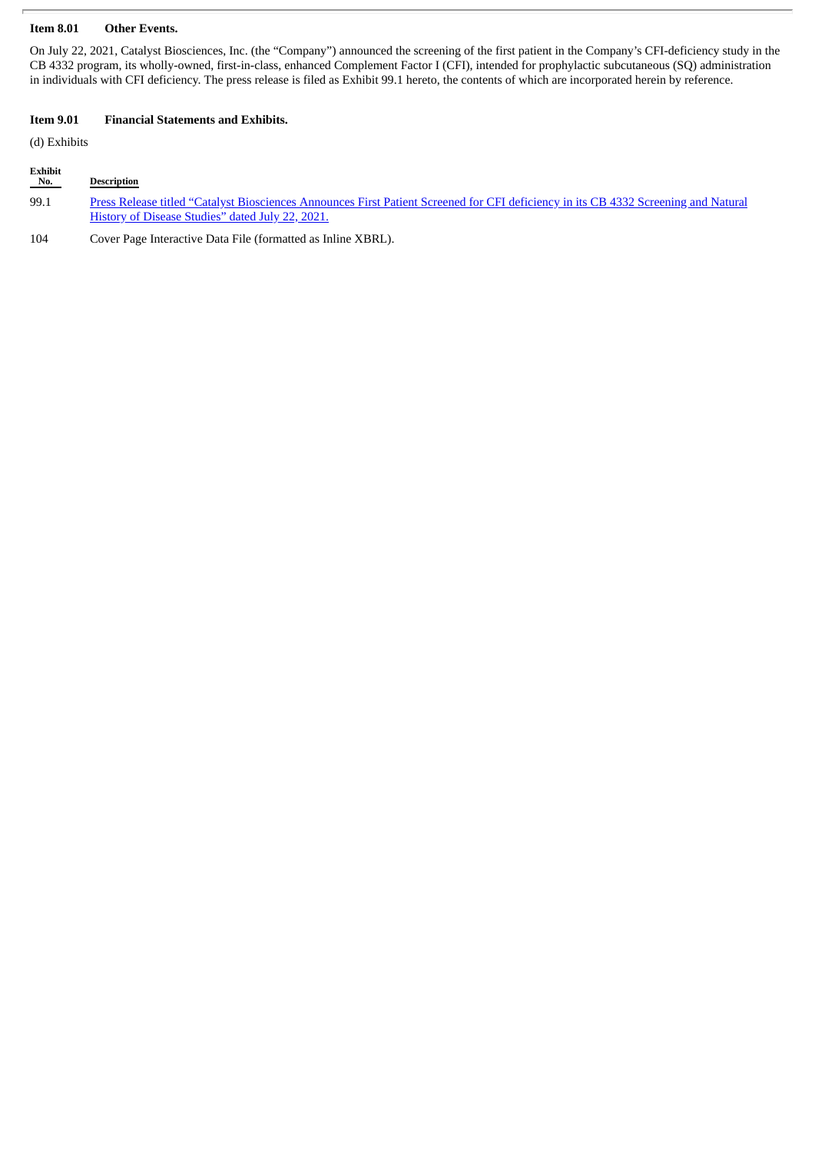### **Item 8.01 Other Events.**

On July 22, 2021, Catalyst Biosciences, Inc. (the "Company") announced the screening of the first patient in the Company's CFI-deficiency study in the CB 4332 program, its wholly-owned, first-in-class, enhanced Complement Factor I (CFI), intended for prophylactic subcutaneous (SQ) administration in individuals with CFI deficiency. The press release is filed as Exhibit 99.1 hereto, the contents of which are incorporated herein by reference.

# **Item 9.01 Financial Statements and Exhibits.**

(d) Exhibits

#### **Exhibit Description**

99.1 Press Release titled "Catalyst [Biosciences](#page-3-0) Announces First Patient Screened for CFI deficiency in its CB 4332 Screening and Natural History of Disease Studies" dated July 22, 2021.

104 Cover Page Interactive Data File (formatted as Inline XBRL).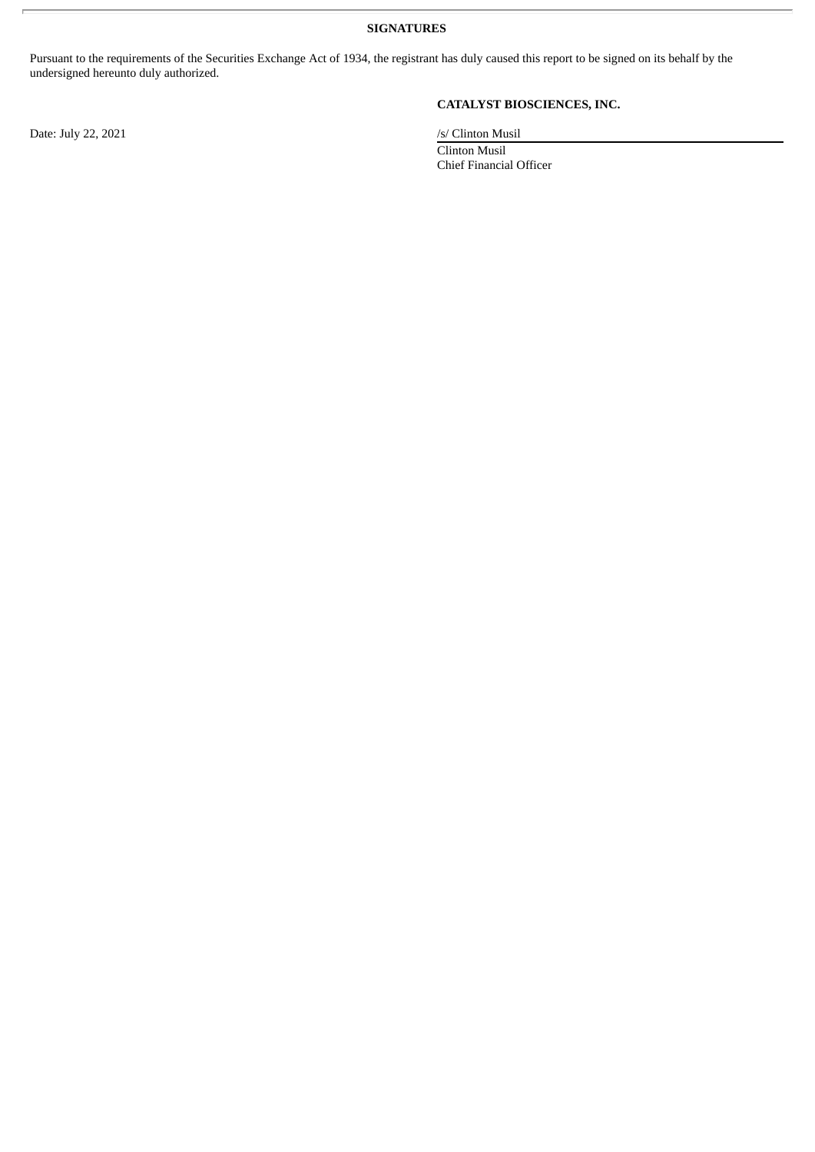**SIGNATURES**

Pursuant to the requirements of the Securities Exchange Act of 1934, the registrant has duly caused this report to be signed on its behalf by the undersigned hereunto duly authorized.

Date: July 22, 2021 /s/ Clinton Musil

# **CATALYST BIOSCIENCES, INC.**

Clinton Musil Chief Financial Officer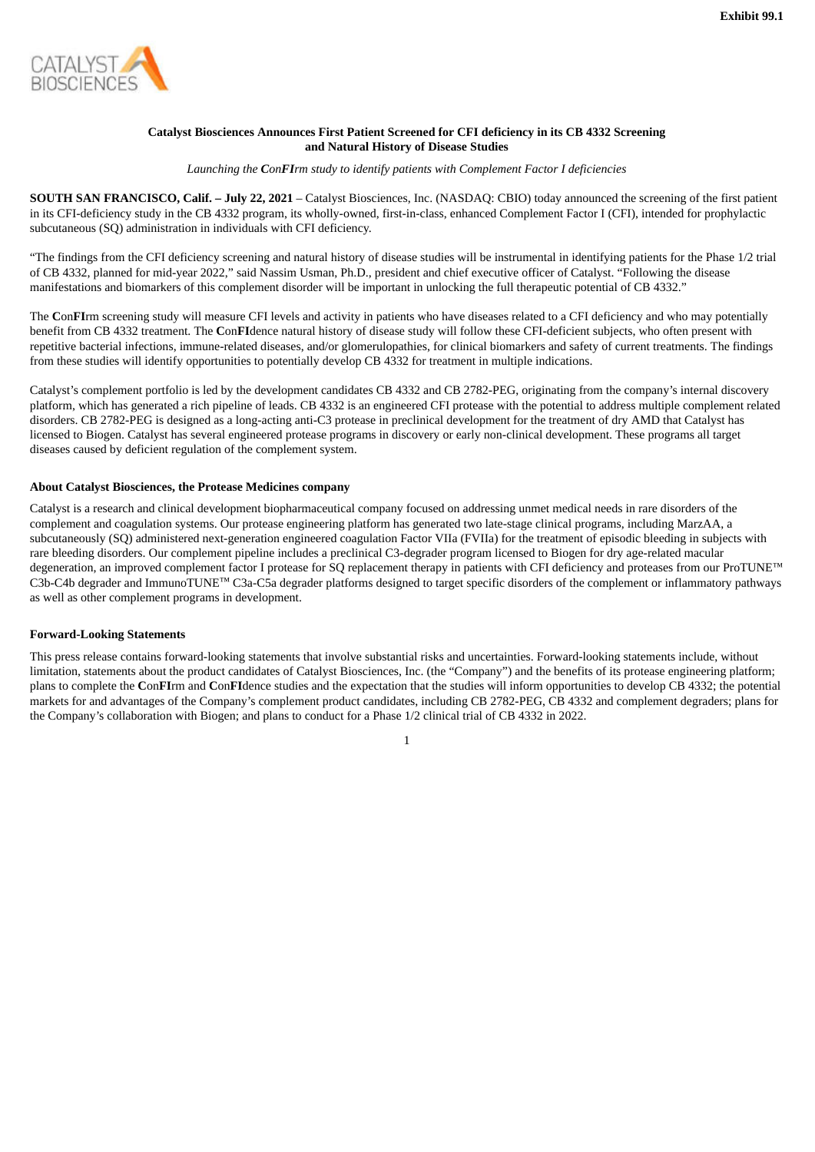<span id="page-3-0"></span>

# **Catalyst Biosciences Announces First Patient Screened for CFI deficiency in its CB 4332 Screening and Natural History of Disease Studies**

*Launching the ConFIrm study to identify patients with Complement Factor I deficiencies*

**SOUTH SAN FRANCISCO, Calif. – July 22, 2021** – Catalyst Biosciences, Inc. (NASDAQ: CBIO) today announced the screening of the first patient in its CFI-deficiency study in the CB 4332 program, its wholly-owned, first-in-class, enhanced Complement Factor I (CFI), intended for prophylactic subcutaneous (SQ) administration in individuals with CFI deficiency.

"The findings from the CFI deficiency screening and natural history of disease studies will be instrumental in identifying patients for the Phase 1/2 trial of CB 4332, planned for mid-year 2022," said Nassim Usman, Ph.D., president and chief executive officer of Catalyst. "Following the disease manifestations and biomarkers of this complement disorder will be important in unlocking the full therapeutic potential of CB 4332."

The **C**on**FI**rm screening study will measure CFI levels and activity in patients who have diseases related to a CFI deficiency and who may potentially benefit from CB 4332 treatment. The **C**on**FI**dence natural history of disease study will follow these CFI-deficient subjects, who often present with repetitive bacterial infections, immune-related diseases, and/or glomerulopathies, for clinical biomarkers and safety of current treatments. The findings from these studies will identify opportunities to potentially develop CB 4332 for treatment in multiple indications.

Catalyst's complement portfolio is led by the development candidates CB 4332 and CB 2782-PEG, originating from the company's internal discovery platform, which has generated a rich pipeline of leads. CB 4332 is an engineered CFI protease with the potential to address multiple complement related disorders. CB 2782-PEG is designed as a long-acting anti-C3 protease in preclinical development for the treatment of dry AMD that Catalyst has licensed to Biogen. Catalyst has several engineered protease programs in discovery or early non-clinical development. These programs all target diseases caused by deficient regulation of the complement system.

## **About Catalyst Biosciences, the Protease Medicines company**

Catalyst is a research and clinical development biopharmaceutical company focused on addressing unmet medical needs in rare disorders of the complement and coagulation systems. Our protease engineering platform has generated two late-stage clinical programs, including MarzAA, a subcutaneously (SQ) administered next-generation engineered coagulation Factor VIIa (FVIIa) for the treatment of episodic bleeding in subjects with rare bleeding disorders. Our complement pipeline includes a preclinical C3-degrader program licensed to Biogen for dry age-related macular degeneration, an improved complement factor I protease for SQ replacement therapy in patients with CFI deficiency and proteases from our ProTUNE™ C3b-C4b degrader and ImmunoTUNE™ C3a-C5a degrader platforms designed to target specific disorders of the complement or inflammatory pathways as well as other complement programs in development.

# **Forward-Looking Statements**

This press release contains forward-looking statements that involve substantial risks and uncertainties. Forward-looking statements include, without limitation, statements about the product candidates of Catalyst Biosciences, Inc. (the "Company") and the benefits of its protease engineering platform; plans to complete the **C**on**FI**rm and **C**on**FI**dence studies and the expectation that the studies will inform opportunities to develop CB 4332; the potential markets for and advantages of the Company's complement product candidates, including CB 2782-PEG, CB 4332 and complement degraders; plans for the Company's collaboration with Biogen; and plans to conduct for a Phase 1/2 clinical trial of CB 4332 in 2022.

1